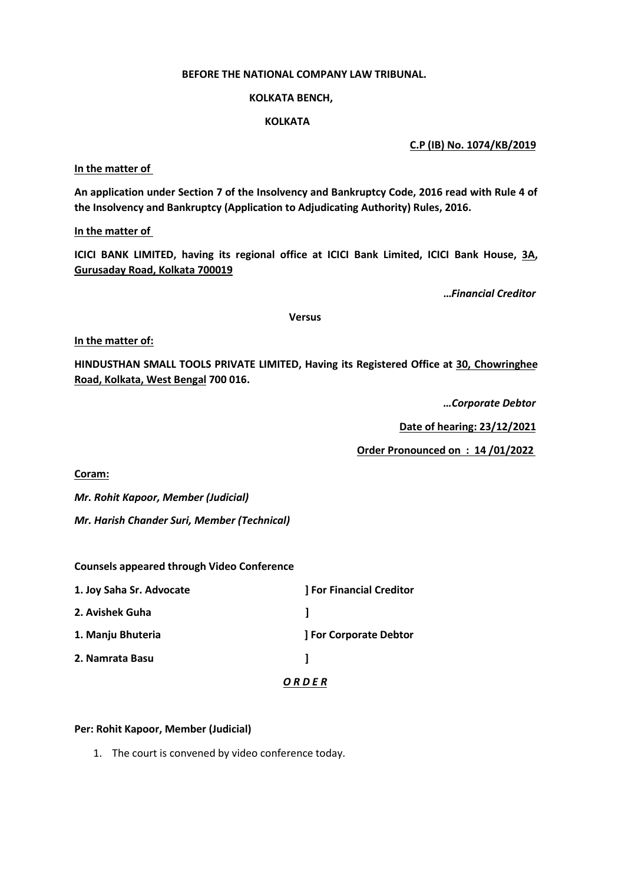# **BEFORE THE NATIONAL COMPANY LAW TRIBUNAL.**

### **KOLKATA BENCH,**

## **KOLKATA**

**C.P (IB) No. 1074/KB/2019**

**In the matter of**

**An application under Section 7 of the Insolvency and Bankruptcy Code, 2016 read with Rule 4 of the Insolvency and Bankruptcy (Application to Adjudicating Authority) Rules, 2016.**

**In the matter of**

**ICICI BANK LIMITED, having its regional office at ICICI Bank Limited, ICICI Bank House, 3A, Gurusaday Road, Kolkata 700019**

**…***Financial Creditor*

#### **Versus**

**In the matter of:**

**HINDUSTHAN SMALL TOOLS PRIVATE LIMITED, Having its Registered Office at 30, Chowringhee Road, Kolkata, West Bengal 700 016.**

*…Corporate Debtor*

**Date of hearing: 23/12/2021**

**Order Pronounced on : 14 /01/2022**

**Coram:**

*Mr. Rohit Kapoor, Member (Judicial)*

*Mr. Harish Chander Suri, Member (Technical)*

**Counsels appeared through Video Conference**

| 1. Joy Saha Sr. Advocate | <b>For Financial Creditor</b> |
|--------------------------|-------------------------------|
| 2. Avishek Guha          |                               |
| 1. Manju Bhuteria        | <b>J For Corporate Debtor</b> |
| 2. Namrata Basu          |                               |
|                          | ORDER                         |

# **Per: Rohit Kapoor, Member (Judicial)**

1. The court is convened by video conference today.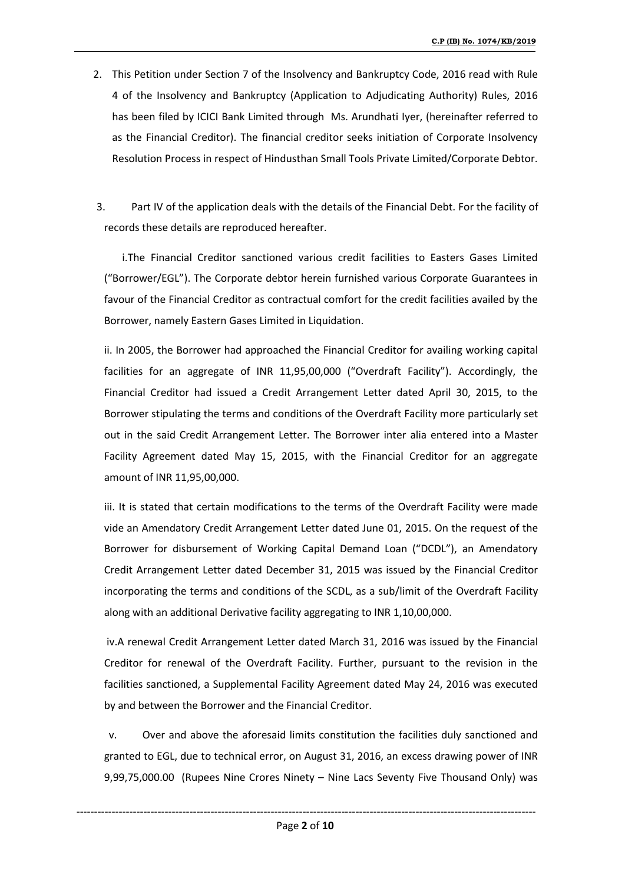- 2. This Petition under Section 7 of the Insolvency and Bankruptcy Code, 2016 read with Rule 4 of the Insolvency and Bankruptcy (Application to Adjudicating Authority) Rules, 2016 has been filed by ICICI Bank Limited through Ms. Arundhati Iyer, (hereinafter referred to as the Financial Creditor). The financial creditor seeks initiation of Corporate Insolvency Resolution Process in respect of Hindusthan Small Tools Private Limited/Corporate Debtor.
- 3. Part IV of the application deals with the details of the Financial Debt. For the facility of records these details are reproduced hereafter.

i.The Financial Creditor sanctioned various credit facilities to Easters Gases Limited ("Borrower/EGL"). The Corporate debtor herein furnished various Corporate Guarantees in favour of the Financial Creditor as contractual comfort for the credit facilities availed by the Borrower, namely Eastern Gases Limited in Liquidation.

ii. In 2005, the Borrower had approached the Financial Creditor for availing working capital facilities for an aggregate of INR 11,95,00,000 ("Overdraft Facility"). Accordingly, the Financial Creditor had issued a Credit Arrangement Letter dated April 30, 2015, to the Borrower stipulating the terms and conditions of the Overdraft Facility more particularly set out in the said Credit Arrangement Letter. The Borrower inter alia entered into a Master Facility Agreement dated May 15, 2015, with the Financial Creditor for an aggregate amount of INR 11,95,00,000.

iii. It is stated that certain modifications to the terms of the Overdraft Facility were made vide an Amendatory Credit Arrangement Letter dated June 01, 2015. On the request of the Borrower for disbursement of Working Capital Demand Loan ("DCDL"), an Amendatory Credit Arrangement Letter dated December 31, 2015 was issued by the Financial Creditor incorporating the terms and conditions of the SCDL, as a sub/limit of the Overdraft Facility along with an additional Derivative facility aggregating to INR 1,10,00,000.

iv.A renewal Credit Arrangement Letter dated March 31, 2016 was issued by the Financial Creditor for renewal of the Overdraft Facility. Further, pursuant to the revision in the facilities sanctioned, a Supplemental Facility Agreement dated May 24, 2016 was executed by and between the Borrower and the Financial Creditor.

v. Over and above the aforesaid limits constitution the facilities duly sanctioned and granted to EGL, due to technical error, on August 31, 2016, an excess drawing power of INR 9,99,75,000.00 (Rupees Nine Crores Ninety – Nine Lacs Seventy Five Thousand Only) was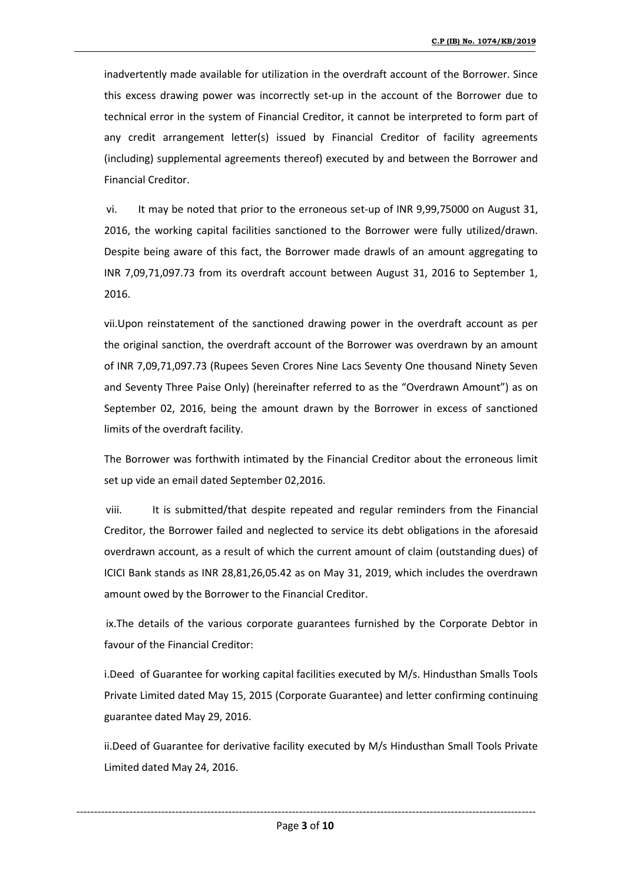inadvertently made available for utilization in the overdraft account of the Borrower. Since this excess drawing power was incorrectly set-up in the account of the Borrower due to technical error in the system of Financial Creditor, it cannot be interpreted to form part of any credit arrangement letter(s) issued by Financial Creditor of facility agreements (including) supplemental agreements thereof) executed by and between the Borrower and Financial Creditor.

vi. It may be noted that prior to the erroneous set-up of INR 9,99,75000 on August 31, 2016, the working capital facilities sanctioned to the Borrower were fully utilized/drawn. Despite being aware of this fact, the Borrower made drawls of an amount aggregating to INR 7,09,71,097.73 from its overdraft account between August 31,2016 to September 1, 2016.

vii.Upon reinstatement of the sanctioned drawing power in the overdraft account as per the original sanction, the overdraft account of the Borrower was overdrawn by an amount of INR 7,09,71,097.73 (Rupees Seven Crores Nine Lacs Seventy One thousand Ninety Seven and Seventy Three Paise Only) (hereinafter referred to as the "Overdrawn Amount") as on September 02, 2016, being the amount drawn by the Borrower in excess of sanctioned limits of the overdraft facility.

The Borrower was forthwith intimated by the Financial Creditor about the erroneous limit set up vide an email dated September 02,2016.

viii. It is submitted/that despite repeated and regular reminders from the Financial Creditor, the Borrower failed and neglected to service its debt obligations in the aforesaid overdrawn account, as a result of which the current amount of claim (outstanding dues) of ICICI Bank stands as INR 28,81,26,05.42 as on May 31, 2019, which includes the overdrawn amount owed by the Borrower to the Financial Creditor.

ix.The details of the various corporate guarantees furnished by the Corporate Debtor in favour of the Financial Creditor:

i.Deed of Guarantee for working capital facilities executed by M/s. Hindusthan Smalls Tools Private Limited dated May 15, 2015 (Corporate Guarantee) and letter confirming continuing guarantee dated May 29, 2016.

ii.Deed of Guarantee for derivative facility executed by M/s Hindusthan Small Tools Private Limited dated May 24, 2016.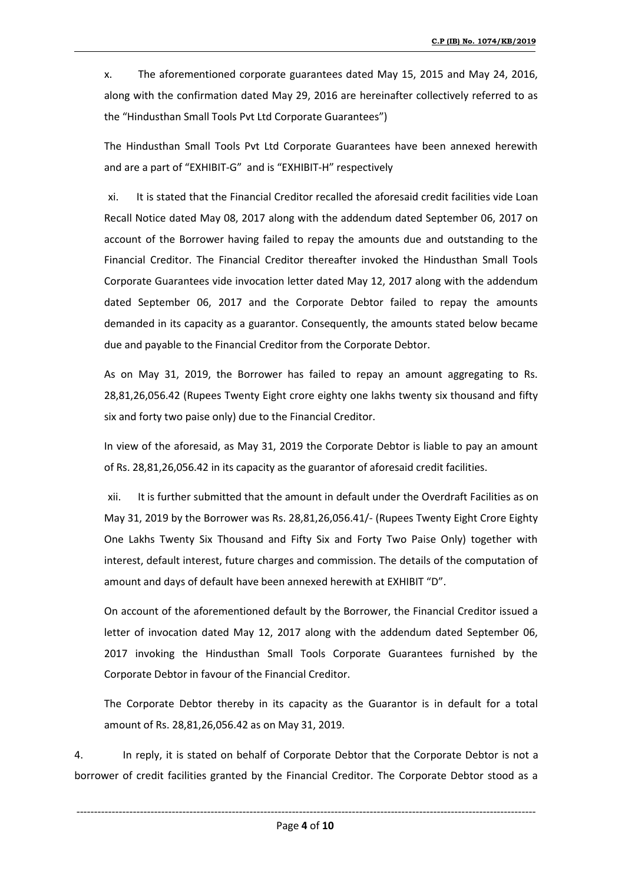x. The aforementioned corporate guarantees dated May 15, 2015 and May 24, 2016, along with the confirmation dated May 29, 2016 are hereinafter collectively referred to as the "Hindusthan Small Tools Pvt Ltd Corporate Guarantees")

The Hindusthan Small Tools Pvt Ltd Corporate Guarantees have been annexed herewith and are a part of "EXHIBIT-G" and is "EXHIBIT-H" respectively

xi. It is stated that the Financial Creditor recalled the aforesaid credit facilities vide Loan Recall Notice dated May 08, 2017 along with the addendum dated September 06, 2017 on account of the Borrower having failed to repay the amounts due and outstanding to the Financial Creditor. The Financial Creditor thereafter invoked the Hindusthan Small Tools Corporate Guarantees vide invocation letter dated May 12, 2017 along with the addendum dated September 06, 2017 and the Corporate Debtor failed to repay the amounts demanded in its capacity as a guarantor. Consequently, the amounts stated below became due and payable to the Financial Creditor from the Corporate Debtor.

As on May 31, 2019, the Borrower has failed to repay an amount aggregating to Rs. 28,81,26,056.42 (Rupees Twenty Eight crore eighty one lakhs twenty six thousand and fifty six and forty two paise only) due to the Financial Creditor.

In view of the aforesaid, as May 31, 2019 the Corporate Debtor is liable to pay an amount of Rs. 28,81,26,056.42 in itscapacity as the guarantor of aforesaid credit facilities.

xii. It is further submitted that the amount in default under the Overdraft Facilities as on May 31, 2019 by the Borrower was Rs. 28,81,26,056.41/- (Rupees Twenty Eight Crore Eighty One Lakhs Twenty Six Thousand and Fifty Six and Forty Two Paise Only) together with interest, default interest, future charges and commission. The details of the computation of amount and days of default have been annexed herewith at EXHIBIT "D".

On account of the aforementioned default by the Borrower, the Financial Creditor issued a letter of invocation dated May 12, 2017 along with the addendum dated September 06, 2017 invoking the Hindusthan Small Tools Corporate Guarantees furnished by the Corporate Debtor in favour of the Financial Creditor.

The Corporate Debtor thereby in its capacity as the Guarantor is in default for a total amount of Rs. 28,81,26,056.42 as on May 31, 2019.

4. In reply, it is stated on behalf of Corporate Debtor that the Corporate Debtor is not a borrower of credit facilities granted by the Financial Creditor. The Corporate Debtor stood as a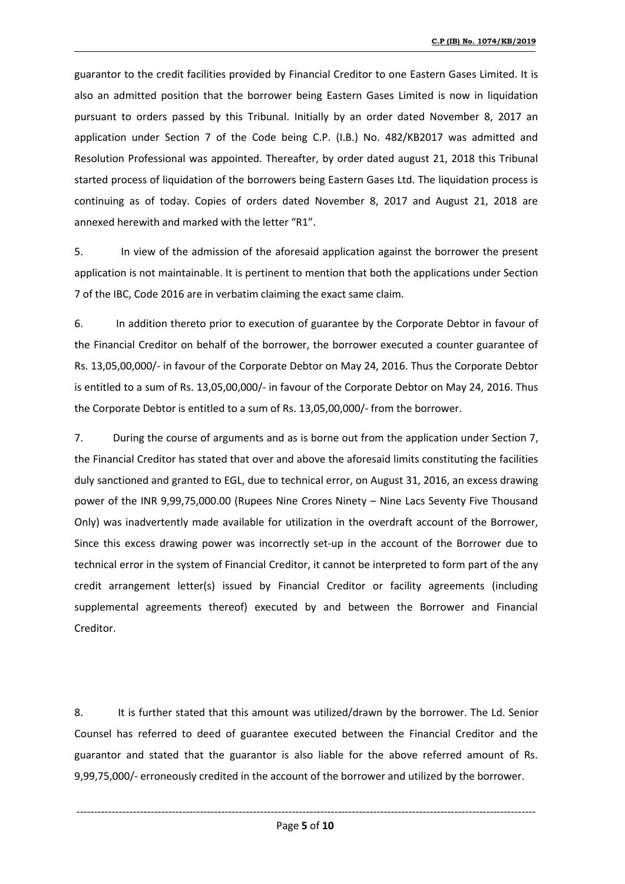guarantor to the credit facilities provided by Financial Creditor to one Eastern Gases Limited. It is also an admitted position that the borrower being Eastern Gases Limited is now in liquidation pursuant to orders passed by this Tribunal. Initially by an order dated November 8, 2017 an application under Section 7 of the Code being C.P.(I.B.) No. 482/KB2017 was admitted and Resolution Professional was appointed. Thereafter, by order dated august 21,2018 this Tribunal started process of liquidation of the borrowers being Eastern Gases Ltd. The liquidation process is continuing as of today. Copies of orders dated November 8, 2017 and August 21, 2018 are annexed herewith and marked with the letter "R1".

5. In view of the admission of the aforesaid application against the borrower the present application is not maintainable. It is pertinent to mention that both the applications under Section 7 of the IBC, Code 2016 are in verbatim claiming the exact same claim.

6. In addition thereto prior to execution of guarantee by the Corporate Debtor in favour of the Financial Creditor on behalf of the borrower, the borrower executed a counter guarantee of Rs. 13,05,00,000/- in favour of the Corporate Debtor on May 24, 2016. Thus the Corporate Debtor is entitled to a sum of Rs.13,05,00,000/- in favour of the Corporate Debtor on May 24, 2016. Thus the Corporate Debtor is entitled to a sum of Rs. 13,05,00,000/- from the borrower.

7. During the course of arguments and as is borne out from the application under Section 7, the Financial Creditor has stated that over and above the aforesaid limits constituting the facilities duly sanctioned and granted to EGL, due to technical error, on August 31, 2016, an excess drawing power of the INR 9,99,75,000.00 (Rupees Nine Crores Ninety – Nine Lacs Seventy Five Thousand Only) was inadvertently made available for utilization in the overdraft account of the Borrower, Since this excess drawing power was incorrectly set-up in the account of the Borrower due to technical error in the system of Financial Creditor, it cannot be interpreted to form part of the any credit arrangement letter(s) issued by Financial Creditor or facility agreements (including supplemental agreements thereof) executed by and between the Borrower and Financial Creditor.

8. It is further stated that this amount was utilized/drawn by the borrower. The Ld. Senior Counsel has referred to deed of guarantee executed between the Financial Creditor and the guarantor and stated that the guarantor is also liable for the above referred amount of Rs. 9,99,75,000/- erroneously credited in the account of the borrower and utilized by the borrower.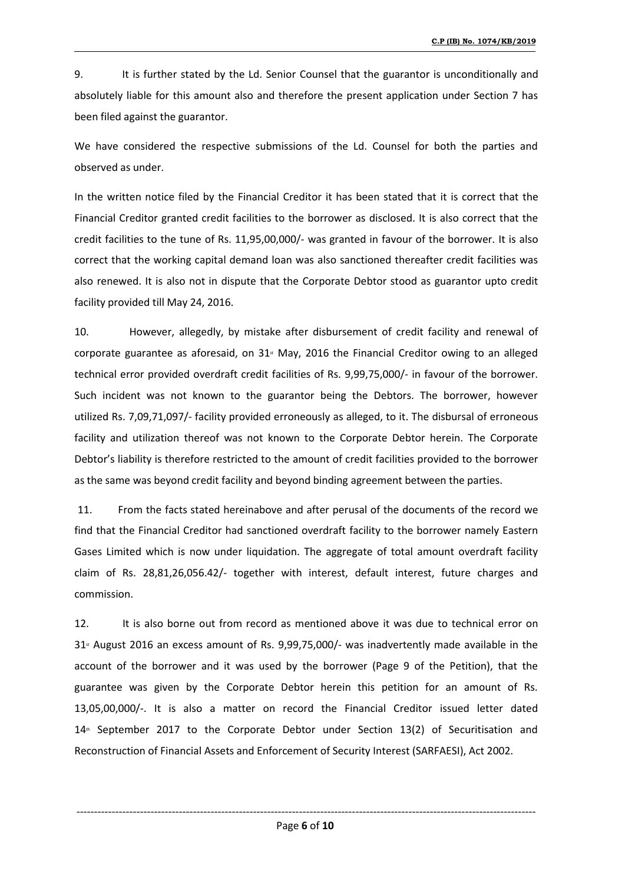9. It is further stated by the Ld. Senior Counsel that the guarantor is unconditionally and absolutely liable for this amount also and therefore the present application under Section 7 has been filed against the guarantor.

We have considered the respective submissions of the Ld. Counsel for both the parties and observed as under.

In the written notice filed by the Financial Creditor it has been stated that it is correct that the Financial Creditor granted credit facilities to the borrower as disclosed. It is also correct that the credit facilities to the tune of Rs. 11,95,00,000/- was granted in favour of the borrower. It is also correct that the working capital demand loan was also sanctioned thereafter credit facilities was also renewed. It is also not in dispute that the Corporate Debtor stood as guarantor upto credit facility provided till May 24, 2016.

10. However, allegedly, by mistake after disbursement of credit facility and renewal of corporate guarantee as aforesaid, on  $31<sup>s</sup>$  May, 2016 the Financial Creditor owing to an alleged technical error provided overdraft credit facilities of Rs.9,99,75,000/- in favour of the borrower. Such incident was not known to the guarantor being the Debtors. The borrower, however utilized Rs. 7,09,71,097/- facility provided erroneously as alleged, to it. The disbursal of erroneous facility and utilization thereof was not known to the Corporate Debtor herein. The Corporate Debtor's liability is therefore restricted to the amount of credit facilities provided to the borrower as the same was beyond credit facility and beyond binding agreement between the parties.

11. From the facts stated hereinabove and after perusal of the documents of the record we find that the Financial Creditor had sanctioned overdraft facility to the borrower namely Eastern Gases Limited which is now under liquidation. The aggregate of total amount overdraft facility claim of Rs. 28,81,26,056.42/- together with interest, default interest, future charges and commission.

12. It is also borne out from record as mentioned above it was due to technical error on  $31<sup>*</sup>$  August 2016 an excess amount of Rs. 9,99,75,000/- was inadvertently made available in the account of the borrower and it was used by the borrower (Page 9 of the Petition), that the guarantee was given by the Corporate Debtor herein this petition for an amount of Rs. 13,05,00,000/-. It is also a matter on record the Financial Creditor issued letter dated  $14<sup>th</sup>$  September 2017 to the Corporate Debtor under Section 13(2) of Securitisation and Reconstruction of Financial Assets and Enforcement of Security Interest (SARFAESI), Act 2002.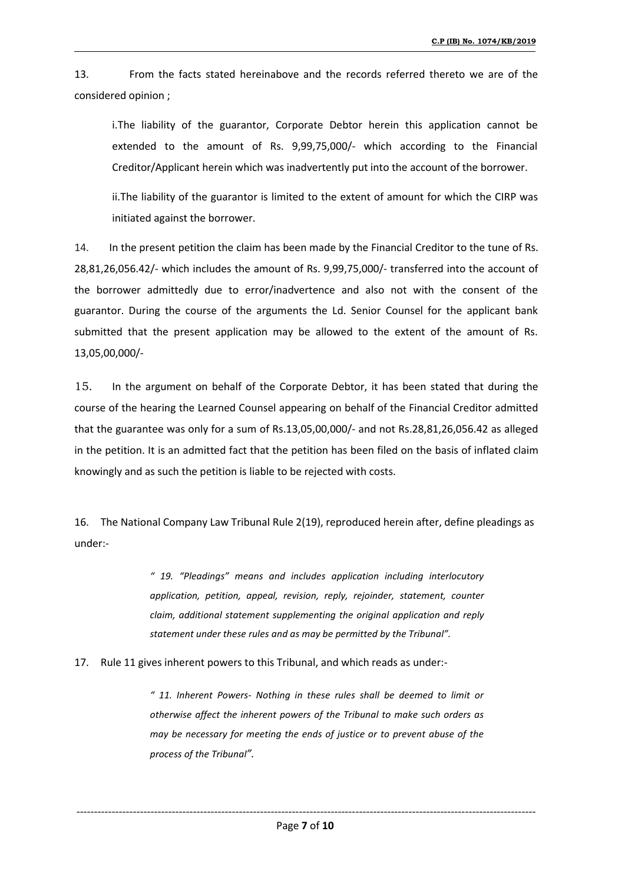13. From the facts stated hereinabove and the records referred thereto we are of the considered opinion ;

i.The liability of the guarantor, Corporate Debtor herein this application cannot be extended to the amount of Rs. 9,99,75,000/- which according to the Financial Creditor/Applicant herein which was inadvertently put into the account of the borrower.

ii.The liability of the guarantor is limited to the extent of amount for which the CIRP was initiated against the borrower.

14. In the present petition the claim has been made by the Financial Creditor to the tune of Rs. 28,81,26,056.42/- which includes the amount of Rs. 9,99,75,000/- transferred into the account of the borrower admittedly due to error/inadvertence and also not with the consent of the guarantor. During the course of the arguments the Ld. Senior Counsel for the applicant bank submitted that the present application may be allowed to the extent of the amount of Rs. 13,05,00,000/-

15. In the argument on behalf of the Corporate Debtor, it has been stated that during the course of the hearing the Learned Counsel appearing on behalf of the Financial Creditor admitted that the guarantee was only for a sum of Rs.13,05,00,000/- and not Rs.28,81,26,056.42 as alleged in the petition. It is an admitted fact that the petition has been filed on the basis of inflated claim knowingly and as such the petition is liable to be rejected with costs.

16. The National Company Law Tribunal Rule 2(19), reproduced herein after, define pleadings as under:-

> *" 19. "Pleadings" means and includes application including interlocutory application, petition, appeal, revision, reply, rejoinder, statement, counter claim, additional statement supplementing the original application and reply statement under these rules and as may be permitted by the Tribunal".*

17. Rule 11 givesinherent powers to this Tribunal, and which reads as under:-

*" 11. Inherent Powers- Nothing in these rules shallbe deemed to limit or otherwise affectthe inherent powers of the Tribunal to make such orders as may be necessary for meeting the ends of justice or to prevent abuse of the process of the Tribunal".*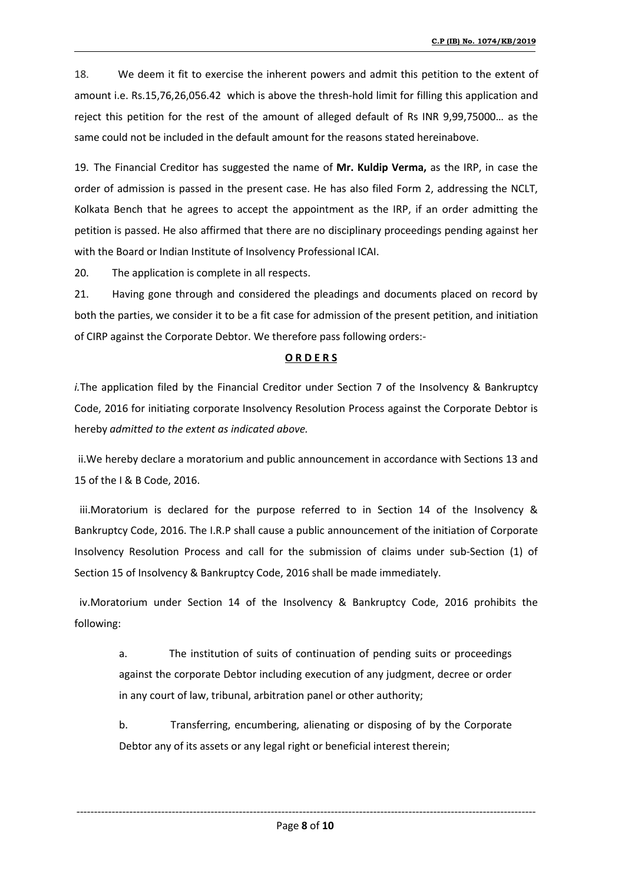18. We deem it fit to exercise the inherent powers and admit this petition to the extent of amount i.e. Rs.15,76,26,056.42 which is above the thresh-hold limit for filling this application and reject this petition for the rest of the amount of alleged default of Rs INR 9,99,75000… as the same could not be included in the default amount for the reasons stated hereinabove.

19. The Financial Creditor has suggested the name of **Mr. Kuldip Verma,** as the IRP, in case the order of admission is passed in the present case. He has also filed Form 2, addressing the NCLT, Kolkata Bench that he agrees to accept the appointment as the IRP, if an order admitting the petition is passed. He also affirmed that there are no disciplinary proceedings pending against her with the Board or Indian Institute of Insolvency Professional ICAI.

20. The application is complete in all respects.

21. Having gone through and considered the pleadings and documents placed on record by both the parties, we consider it to be a fit case for admission of the present petition, and initiation of CIRP against the Corporate Debtor. We therefore pass following orders:-

### **O R D E R S**

*i.*The application filed by the Financial Creditor under Section 7 of the Insolvency & Bankruptcy Code, 2016 for initiating corporate Insolvency Resolution Process against the Corporate Debtor is hereby *admitted to the extentas indicated above.*

ii.We hereby declare a moratorium and public announcement in accordance with Sections 13 and 15 of the I & B Code,2016.

iii.Moratorium is declared for the purpose referred to in Section 14 of the Insolvency  $\&$ Bankruptcy Code, 2016. The I.R.P shall cause a public announcement of the initiation of Corporate Insolvency Resolution Process and call for the submission of claims under sub-Section (1) of Section 15 of Insolvency & Bankruptcy Code, 2016 shall be made immediately.

iv.Moratorium under Section 14 of the Insolvency & Bankruptcy Code, 2016 prohibits the following:

a. The institution of suits of continuation of pending suits or proceedings against the corporate Debtor including execution of any judgment, decree or order in any court of law, tribunal, arbitration panel or other authority;

b. Transferring, encumbering, alienating or disposing of by the Corporate Debtor any of its assets or any legal right or beneficial interest therein;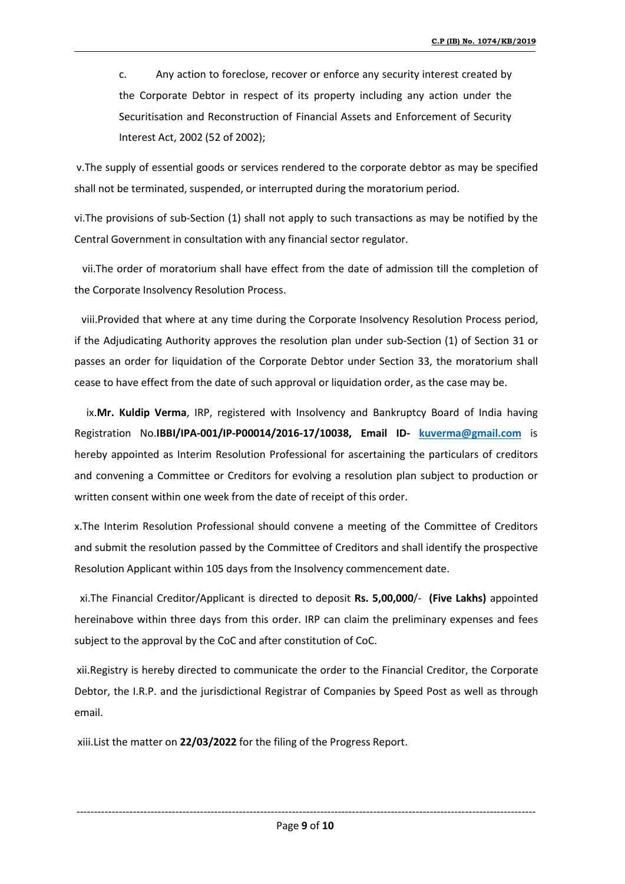c. Any action to foreclose, recover or enforce any security interest created by the Corporate Debtor in respect of its property including any action under the Securitisation and Reconstruction of Financial Assets and Enforcement of Security Interest Act, 2002 (52 of 2002);

v.The supply of essential goods or services rendered to the corporate debtor as may be specified shall not be terminated, suspended, or interrupted during the moratorium period.

vi.The provisions of sub-Section (1) shall not apply to such transactions as may be notified by the Central Government in consultation with any financial sector regulator.

vii.The order of moratorium shall have effect from the date of admission till the completion of the Corporate Insolvency Resolution Process.

viii.Provided that where at any time during the Corporate Insolvency Resolution Process period, if the Adjudicating Authority approves the resolution plan under sub-Section (1) of Section 31 or passes an order for liquidation of the Corporate Debtor under Section 33, the moratorium shall cease to have effect from the date of such approval or liquidation order, as the case may be.

ix.Mr. Kuldip Verma, IRP, registered with Insolvency and Bankruptcy Board of India having Registration No.**IBBI/IPA-001/IP-P00014/2016-17/10038, Email ID- kuverma@gmail.com** is hereby appointed as Interim Resolution Professional for ascertaining the particulars of creditors and convening a Committee or Creditors for evolving a resolution plan subject to production or written consent within one week from the date of receipt of this order.<br>x.The Interim Resolution Professional should convene a meeting of the Committee of Creditors

and submit the resolution passed by the Committee of Creditors and shall identify the prospective Resolution Applicant within 105 days from the Insolvency commencement date.

xi.The Financial Creditor/Applicant is directed to deposit **Rs. 5,00,000**/- **(Five Lakhs)** appointed hereinabove within three days from this order. IRP can claim the preliminary expenses and fees subject to the approval by the CoC and after constitution of CoC.

xii.Registry is hereby directed to communicate the order to the Financial Creditor, the Corporate Debtor, the I.R.P. and the jurisdictional Registrar of Companies by Speed Post as well as through email.

xiii.List the matter on **22/03/2022** for the filing of the Progress Report.